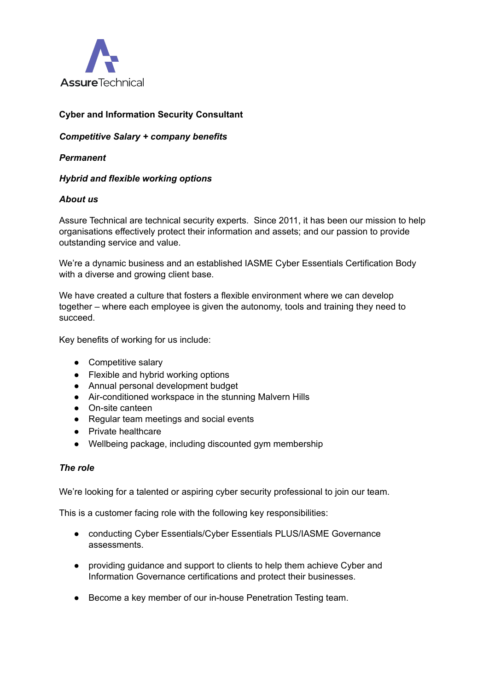

# **Cyber and Information Security Consultant**

*Competitive Salary + company benefits*

*Permanent*

# *Hybrid and flexible working options*

### *About us*

Assure Technical are technical security experts. Since 2011, it has been our mission to help organisations effectively protect their information and assets; and our passion to provide outstanding service and value.

We're a dynamic business and an established IASME Cyber Essentials Certification Body with a diverse and growing client base.

We have created a culture that fosters a flexible environment where we can develop together – where each employee is given the autonomy, tools and training they need to succeed.

Key benefits of working for us include:

- Competitive salary
- Flexible and hybrid working options
- Annual personal development budget
- Air-conditioned workspace in the stunning Malvern Hills
- On-site canteen
- Regular team meetings and social events
- Private healthcare
- Wellbeing package, including discounted gym membership

### *The role*

We're looking for a talented or aspiring cyber security professional to join our team.

This is a customer facing role with the following key responsibilities:

- conducting Cyber Essentials/Cyber Essentials PLUS/IASME Governance assessments.
- providing guidance and support to clients to help them achieve Cyber and Information Governance certifications and protect their businesses.
- Become a key member of our in-house Penetration Testing team.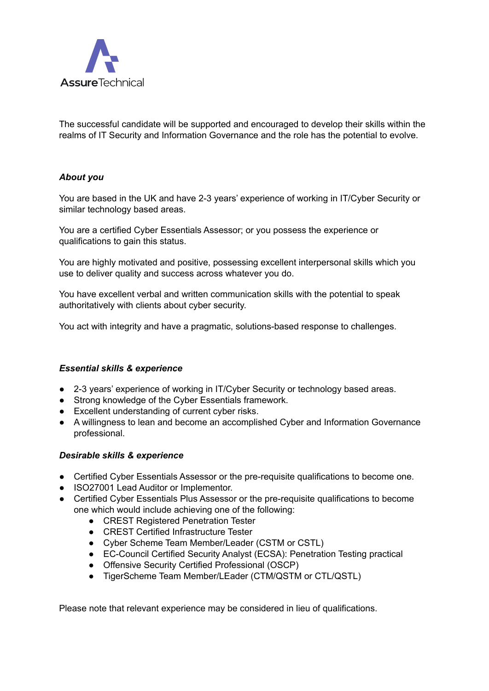

The successful candidate will be supported and encouraged to develop their skills within the realms of IT Security and Information Governance and the role has the potential to evolve.

### *About you*

You are based in the UK and have 2-3 years' experience of working in IT/Cyber Security or similar technology based areas.

You are a certified Cyber Essentials Assessor; or you possess the experience or qualifications to gain this status.

You are highly motivated and positive, possessing excellent interpersonal skills which you use to deliver quality and success across whatever you do.

You have excellent verbal and written communication skills with the potential to speak authoritatively with clients about cyber security.

You act with integrity and have a pragmatic, solutions-based response to challenges.

### *Essential skills & experience*

- 2-3 years' experience of working in IT/Cyber Security or technology based areas.
- Strong knowledge of the Cyber Essentials framework.
- Excellent understanding of current cyber risks.
- A willingness to lean and become an accomplished Cyber and Information Governance professional.

#### *Desirable skills & experience*

- Certified Cyber Essentials Assessor or the pre-requisite qualifications to become one.
- ISO27001 Lead Auditor or Implementor.
- Certified Cyber Essentials Plus Assessor or the pre-requisite qualifications to become one which would include achieving one of the following:
	- CREST Registered Penetration Tester
	- CREST Certified Infrastructure Tester
	- Cyber Scheme Team Member/Leader (CSTM or CSTL)
	- EC-Council Certified Security Analyst (ECSA): Penetration Testing practical
	- Offensive Security Certified Professional (OSCP)
	- TigerScheme Team Member/LEader (CTM/QSTM or CTL/QSTL)

Please note that relevant experience may be considered in lieu of qualifications.